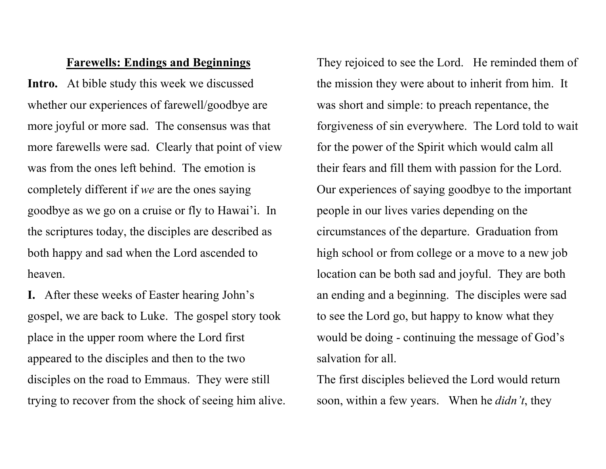## Farewells: Endings and Beginnings

Intro. At bible study this week we discussed whether our experiences of farewell/goodbye are more joyful or more sad. The consensus was that more farewells were sad. Clearly that point of view was from the ones left behind. The emotion is completely different if we are the ones saying goodbye as we go on a cruise or fly to Hawai'i. In the scriptures today, the disciples are described as both happy and sad when the Lord ascended to heaven.

I. After these weeks of Easter hearing John's gospel, we are back to Luke. The gospel story took place in the upper room where the Lord first appeared to the disciples and then to the two disciples on the road to Emmaus. They were still trying to recover from the shock of seeing him alive.

They rejoiced to see the Lord. He reminded them of the mission they were about to inherit from him. It was short and simple: to preach repentance, the forgiveness of sin everywhere. The Lord told to wait for the power of the Spirit which would calm all their fears and fill them with passion for the Lord. Our experiences of saying goodbye to the important people in our lives varies depending on the circumstances of the departure. Graduation from high school or from college or a move to a new job location can be both sad and joyful. They are both an ending and a beginning. The disciples were sad to see the Lord go, but happy to know what they would be doing - continuing the message of God's salvation for all.

The first disciples believed the Lord would return soon, within a few years. When he *didn't*, they